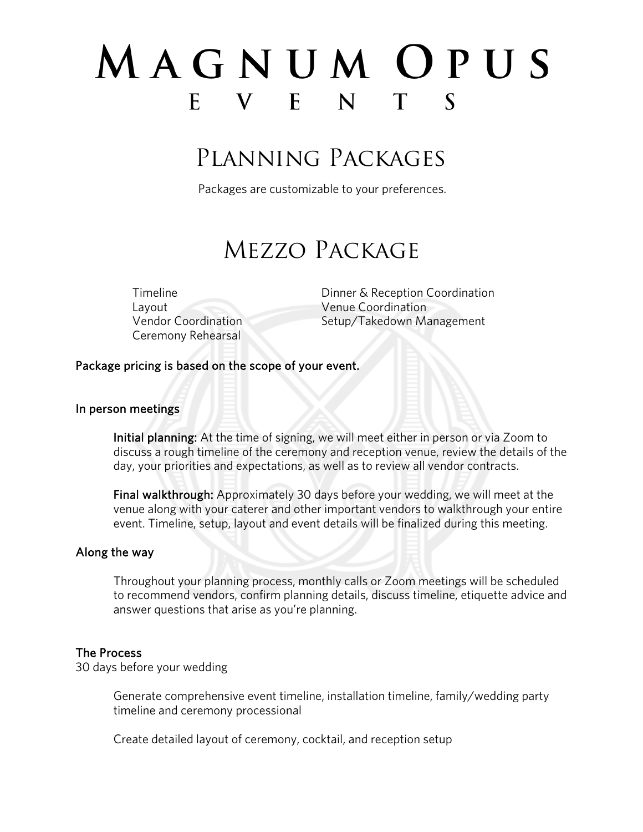# MAGNUM OPUS E V E N T S

# Planning Packages

Packages are customizable to your preferences.

# Mezzo Package

Layout Venue Coordination Ceremony Rehearsal

Timeline **Dinner & Reception Coordination** Vendor Coordination Setup/Takedown Management

### Package pricing is based on the scope of your event.

#### In person meetings

Initial planning: At the time of signing, we will meet either in person or via Zoom to discuss a rough timeline of the ceremony and reception venue, review the details of the day, your priorities and expectations, as well as to review all vendor contracts.

Final walkthrough: Approximately 30 days before your wedding, we will meet at the venue along with your caterer and other important vendors to walkthrough your entire event. Timeline, setup, layout and event details will be finalized during this meeting.

### Along the way

Throughout your planning process, monthly calls or Zoom meetings will be scheduled to recommend vendors, confirm planning details, discuss timeline, etiquette advice and answer questions that arise as you're planning.

### The Process

30 days before your wedding

Generate comprehensive event timeline, installation timeline, family/wedding party timeline and ceremony processional

Create detailed layout of ceremony, cocktail, and reception setup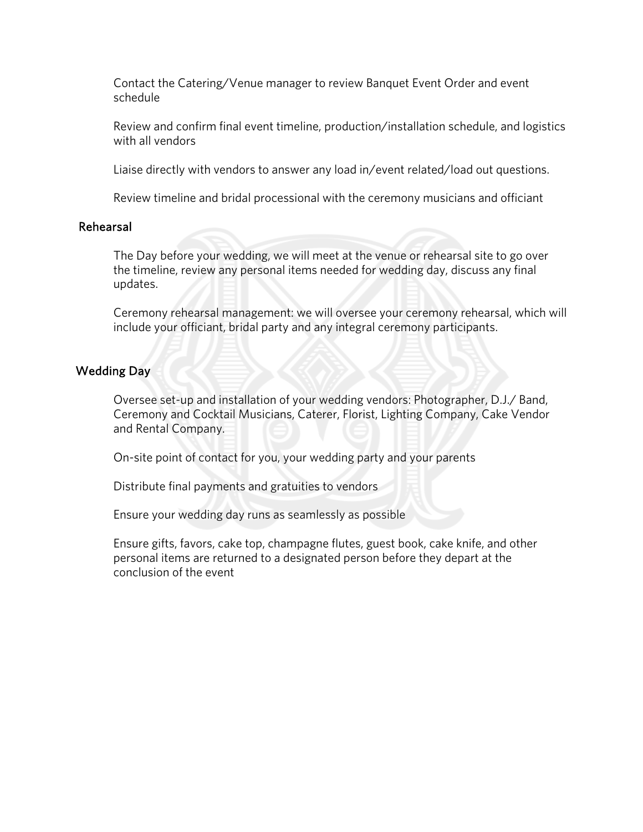Contact the Catering/Venue manager to review Banquet Event Order and event schedule

Review and confirm final event timeline, production/installation schedule, and logistics with all vendors

Liaise directly with vendors to answer any load in/event related/load out questions.

Review timeline and bridal processional with the ceremony musicians and officiant

## Rehearsal

The Day before your wedding, we will meet at the venue or rehearsal site to go over the timeline, review any personal items needed for wedding day, discuss any final updates.

Ceremony rehearsal management: we will oversee your ceremony rehearsal, which will include your officiant, bridal party and any integral ceremony participants.

# Wedding Day

Oversee set-up and installation of your wedding vendors: Photographer, D.J./ Band, Ceremony and Cocktail Musicians, Caterer, Florist, Lighting Company, Cake Vendor and Rental Company.

On-site point of contact for you, your wedding party and your parents

Distribute final payments and gratuities to vendors

Ensure your wedding day runs as seamlessly as possible

Ensure gifts, favors, cake top, champagne flutes, guest book, cake knife, and other personal items are returned to a designated person before they depart at the conclusion of the event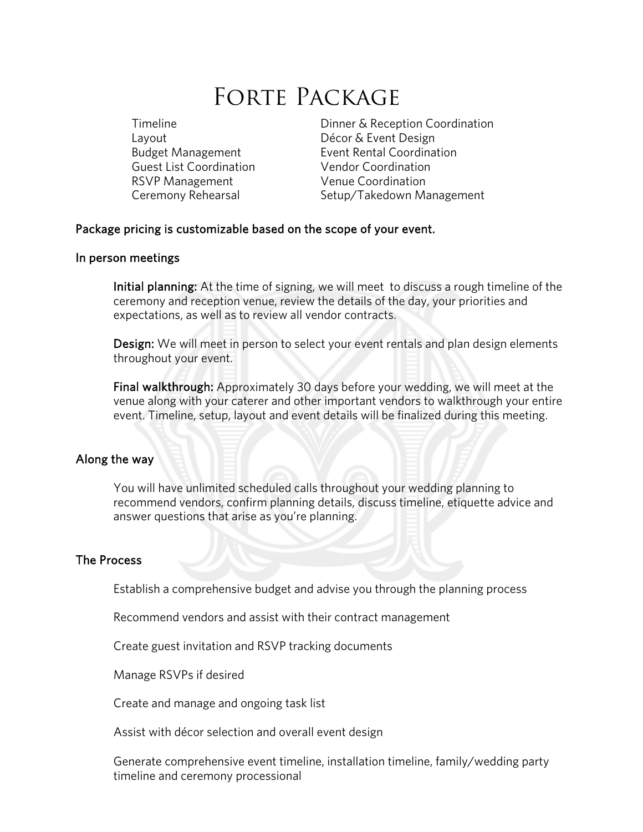# FORTE PACKAGE

Layout **Décor & Event Design** Guest List Coordination Vendor Coordination RSVP Management Venue Coordination

Timeline **Dinner & Reception Coordination** Budget Management Event Rental Coordination Ceremony Rehearsal Setup/Takedown Management

### Package pricing is customizable based on the scope of your event.

#### In person meetings

Initial planning: At the time of signing, we will meet to discuss a rough timeline of the ceremony and reception venue, review the details of the day, your priorities and expectations, as well as to review all vendor contracts.

Design: We will meet in person to select your event rentals and plan design elements throughout your event.

Final walkthrough: Approximately 30 days before your wedding, we will meet at the venue along with your caterer and other important vendors to walkthrough your entire event. Timeline, setup, layout and event details will be finalized during this meeting.

#### Along the way

You will have unlimited scheduled calls throughout your wedding planning to recommend vendors, confirm planning details, discuss timeline, etiquette advice and answer questions that arise as you're planning.

#### The Process

Establish a comprehensive budget and advise you through the planning process

Recommend vendors and assist with their contract management

Create guest invitation and RSVP tracking documents

Manage RSVPs if desired

Create and manage and ongoing task list

Assist with décor selection and overall event design

Generate comprehensive event timeline, installation timeline, family/wedding party timeline and ceremony processional